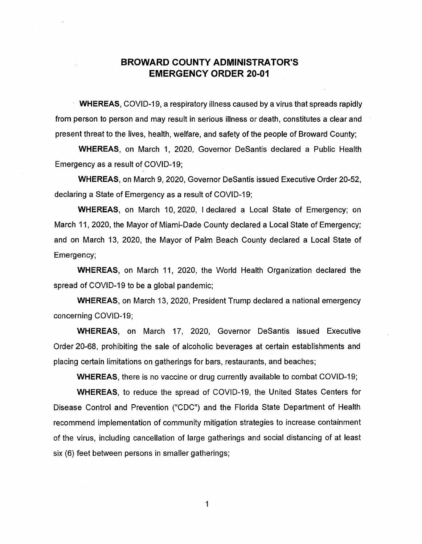## **BROWARD COUNTY ADMINISTRATOR'S EMERGENCY ORDER 20-01**

**WHEREAS,** COVID-19, a respiratory illness caused by a virus that spreads rapidly from person to person and may result in serious illness or death, constitutes a clear and present threat to the lives, health, welfare, and safety of the people of Broward County;

**WHEREAS,** on March 1, 2020, Governor Desantis declared a Public Health Emergency as a result of COVID-19;

**WHEREAS,** on March 9, 2020, Governor Desantis issued Executive Order 20-52, declaring a State of Emergency as a result of COVID-19;

**WHEREAS,** on March 10, 2020, I declared a Local State of Emergency; on March 11, 2020, the Mayor of Miami-Dade County declared a Local State of Emergency; and on March 13, 2020, the Mayor of Palm Beach County declared a Local State of Emergency;

**WHEREAS,** on March 11, 2020, the World Health Organization declared the spread of COVID-19 to be a global pandemic;

**WHEREAS,** on March 13, 2020, President Trump declared a national emergency concerning COVID-19;

**WHEREAS,** on March 17, 2020, Governor Desantis issued Executive Order 20-68, prohibiting the sale of alcoholic beverages at certain establishments and placing certain limitations on gatherings for bars, restaurants, and beaches;

**WHEREAS,** there is no vaccine or drug currently available to combat COVID-19;

**WHEREAS,** to reduce the spread of COVID-19, the United States Centers for Disease Control and Prevention ("CDC") and the Florida State Department of Health recommend implementation of community mitigation strategies to increase containment of the virus, including cancellation of large gatherings and social distancing of at least six (6) feet between persons in smaller gatherings;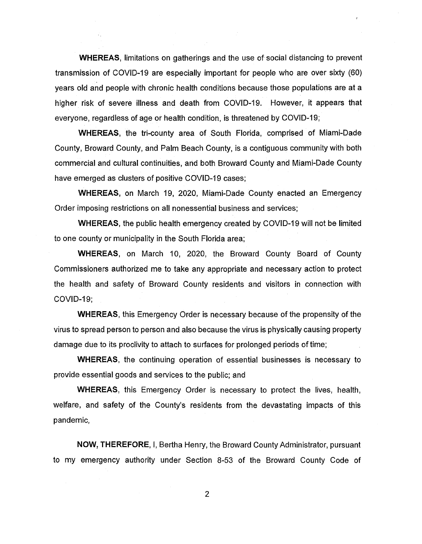**WHEREAS, limitations on gatherings and the use of social distancing to prevent** transmission of COVID-19 are especially important for people who are over sixty (60) years old and people with chronic health conditions because those populations are at a higher risk of severe illness and death from COVID-19. However, it appears that everyone, regardless of age or health condition, is threatened by COVID-19;

**WHEREAS,** the tri-county area of South Florida, comprised of Miami-Dade County, Broward County, and Palm Beach County, is a contiguous community with both commercial and cultural continuities, and both Broward County and Miami-Dade County have emerged as clusters of positive COVID-19 cases;

**WHEREAS,** on March 19, 2020, Miami-Dade County enacted an Emergency Order imposing restrictions on all nonessential business and services;

**WHEREAS,** the public health emergency created by COVID-19 will not be limited to one county or municipality in the South Florida area;

**WHEREAS,** on March 10, 2020, the Broward County Board of County Commissioners authorized me to take any appropriate and necessary action to protect the health and safety of Broward County residents and visitors in connection with COVID-19;

**WHEREAS,** this Emergency Order is necessary because of the propensity of the virus to spread person to person and also because the virus is physically causing property damage due to its proclivity to attach to surfaces for prolonged periods of time;

**WHEREAS,** the continuing operation of essential businesses is necessary to provide essential goods and services to the public; and

**WHEREAS,** this Emergency Order is necessary to protect the lives, health, welfare, and safety of the County's residents from the devastating impacts of this pandemic,

**NOW, THEREFORE,** I, Bertha Henry, the Broward County Administrator, pursuant to my emergency authority under Section 8-53 of the Broward County Code of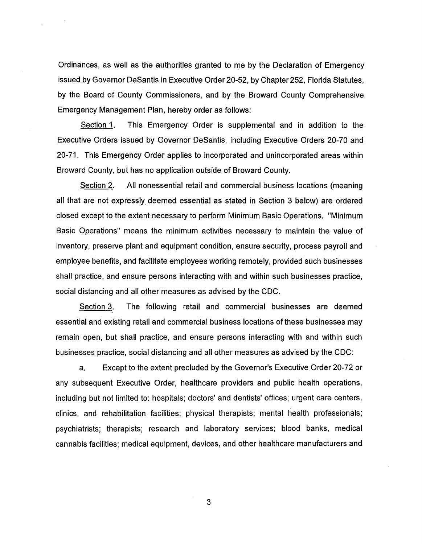Ordinances, as well as the authorities granted to me by the Declaration of Emergency issued by Governor Desantis in Executive Order 20-52, by Chapter 252, Florida Statutes, by the Board of County Commissioners, and by the Broward County Comprehensive Emergency Management Plan, hereby order as follows:

Section 1. This Emergency Order is supplemental and in addition to the Executive Orders issued by Governor Desantis, including Executive Orders 20-70 and 20-71. This Emergency Order applies to incorporated and unincorporated areas within Broward County, but has no application outside of Broward County.

Section 2. All nonessential retail and commercial business locations (meaning all that are not expressly deemed essential as stated in Section 3 below) are ordered closed except to the extent necessary to perform Minimum Basic Operations. "Minimum Basic Operations" means the minimum activities necessary to maintain the value of inventory, preserve plant and equipment condition, ensure security, process payroll and employee benefits, and facilitate employees working remotely, provided such businesses shall practice, and ensure persons interacting with and within such businesses practice, social distancing and all other measures as advised by the CDC.

Section 3. The following retail and commercial businesses are deemed essential and existing retail and commercial business locations of these businesses may remain open, but shall practice, and ensure persons interacting with and within such businesses practice, social distancing and all other measures as advised by the CDC:

a. Except to the extent precluded by the Governor's Executive Order 20-72 or any subsequent Executive Order, healthcare providers and public health operations, including but not limited to: hospitals; doctors' and dentists' offices; urgent care centers, clinics, and rehabilitation facilities; physical therapists; mental health professionals; psychiatrists; therapists; research and laboratory services; blood banks, medical cannabis facilities; medical equipment, devices, and other healthcare manufacturers and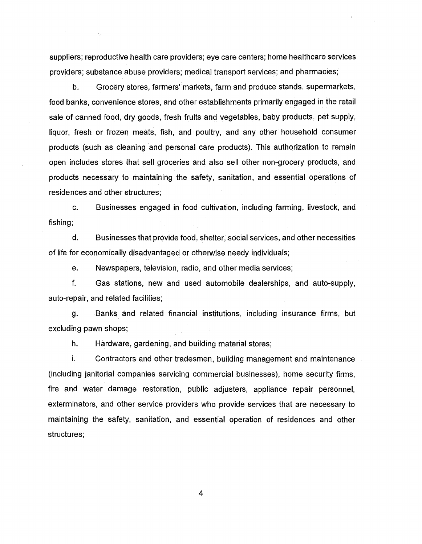suppliers; reproductive health care providers; eye care centers; home healthcare services providers; substance abuse providers; medical transport services; and pharmacies;

b. Grocery stores, farmers' markets, farm and produce stands, supermarkets, food banks, convenience stores, and other establishments primarily engaged in the retail sale of canned food, dry goods, fresh fruits and vegetables, baby products, pet supply, liquor, fresh or frozen meats, fish, and poultry, and any other household consumer products (such as cleaning and personal care products). This authorization to remain open includes stores that sell groceries and also sell other non-grocery products, and products necessary to maintaining the safety, sanitation, and essential operations of residences and other structures;

c. Businesses engaged in food cultivation, including farming, livestock, and fishing;

d. Businesses that provide food, shelter, social services, and other necessities of life for economically disadvantaged or otherwise needy individuals;

e. Newspapers, television, radio, and other media services;

f. Gas stations, new and used automobile dealerships, and auto-supply, auto-repair, and related facilities;

g. Banks and related financial institutions, including insurance firms, but excluding pawn shops;

h. Hardware, gardening, and building material stores;

i. Contractors and other tradesmen, building management and maintenance (including janitorial companies servicing commercial businesses), home security firms, fire and water damage restoration, public adjusters, appliance repair personnel, exterminators, and other service providers who provide services that are necessary to maintaining the safety, sanitation, and essential operation of residences and other structures;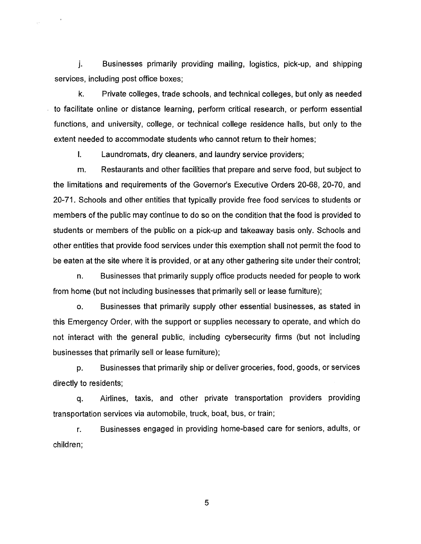j. Businesses primarily providing mailing, logistics, pick-up, and shipping services, including post office boxes;

 $\mathbb{R}^2$ 

k. Private colleges, trade schools, and technical colleges, but only as needed to facilitate online or distance learning, perform critical research, or perform essential functions, and university, college, or technical college residence halls, but only to the extent needed to accommodate students who cannot return to their homes;

I. Laundromats, dry cleaners, and laundry service providers;

m. Restaurants and other facilities that prepare and serve food, but subject to the limitations and requirements of the Governor's Executive Orders 20-68, 20-70, and 20-71. Schools and other entities that typically provide free food services to students or members of the public may continue to do so on the condition that the food is provided to students or members of the public on a pick-up and takeaway basis only. Schools and other entities that provide food services under this exemption shall not permit the food to be eaten at the site where it is provided, or at any other gathering site under their control;

n. Businesses that primarily supply office products needed for people to work from home (but not including businesses that primarily sell or lease furniture);

o. Businesses that primarily supply other essential businesses, as stated in this Emergency Order, with the support or supplies necessary to operate, and which do not interact with the general public, including cybersecurity firms (but not including businesses that primarily sell or lease furniture);

p. Businesses that primarily ship or deliver groceries, food, goods, or services directly to residents;

q. Airlines, taxis, and other private transportation providers providing transportation services via automobile, truck, boat, bus, or train;

r. Businesses engaged in providing home-based care for seniors, adults, or children;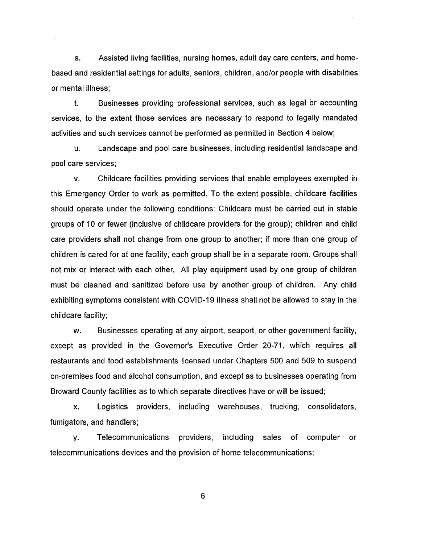s. Assisted living facilities, nursing homes, adult day care centers, and homebased and residential settings for adults, seniors, children, and/or people with disabilities or mental illness;

t. Businesses providing professional services, such as legal or accounting services, to the extent those services are necessary to respond to legally mandated activities and such services cannot be performed as permitted in Section 4 below;

u. Landscape and pool care businesses, including residential landscape and pool care services;

v. Childcare facilities providing services that enable employees exempted in this Emergency Order to work as permitted. To the extent possible, childcare facilities should operate under the following conditions: Childcare must be carried out in stable groups of 10 or fewer (inclusive of childcare providers for the group); children and child care providers shall not change from one group to another; if more than one group of children is cared for at one facility, each group shall be in a separate room. Groups shall not mix or interact with each other. All play equipment used by one group of children must be cleaned and sanitized before use by another group of children. Any child exhibiting symptoms consistent with COVID-19 illness shall not be allowed to stay in the childcare facility;

w. Businesses operating at any airport, seaport, or other government facility, except as provided in the Governor's Executive Order 20-71, which requires all restaurants and food establishments licensed under Chapters 500 and 509 to suspend on-premises food and alcohol consumption, and except as to businesses operating from Broward County facilities as to which separate directives have or will be issued;

x. Logistics providers, including warehouses, trucking, consolidators, fumigators, and handlers;

y. Telecommunications providers, including sales of computer or telecommunications devices and the provision of home telecommunications;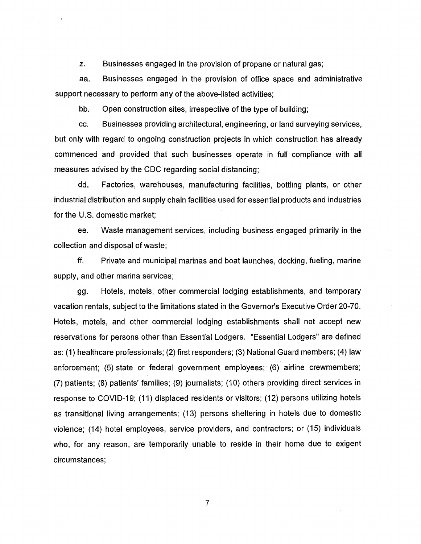z. Businesses engaged in the provision of propane or natural gas;

aa. Businesses engaged in the provision of office space and administrative support necessary to perform any of the above-listed activities;

bb. Open construction sites, irrespective of the type of building;

cc. Businesses providing architectural, engineering, or land surveying services, but only with regard to ongoing construction projects in which construction has already commenced and provided that such businesses operate in full compliance with all measures advised by the CDC regarding social distancing;

dd. Factories, warehouses, manufacturing facilities, bottling plants, or other industrial distribution and supply chain facilities used for essential products and industries for the U.S. domestic market;

ee. Waste management services, including business engaged primarily in the collection and disposal of waste;

ff. Private and municipal marinas and boat launches, docking, fueling, marine supply, and other marina services;

gg. Hotels, motels, other commercial lodging establishments, and temporary vacation rentals, subject to the limitations stated in the Governor's Executive Order 20-70. Hotels, motels, and other commercial lodging establishments shall not accept new reservations for persons other than Essential Lodgers. "Essential Lodgers" are defined as: (1) healthcare professionals; (2) first responders; (3) National Guard members; (4) law enforcement; (5) state or federal government employees; (6) airline crewmembers; (7) patients; (8) patients' families; (9) journalists; (10) others providing direct services in response to COVID-19; (11) displaced residents or visitors; (12) persons utilizing hotels as transitional living arrangements; (13) persons sheltering in hotels due to domestic violence; (14) hotel employees, service providers, and contractors; or (15) individuals who, for any reason, are temporarily unable to reside in their home due to exigent circumstances;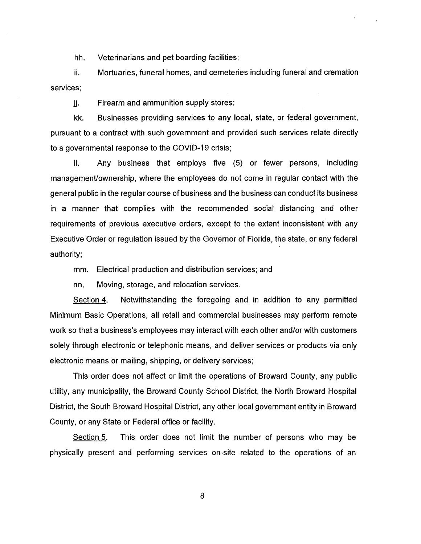hh. Veterinarians and pet boarding facilities;

ii. Mortuaries, funeral homes, and cemeteries including funeral and cremation services;

jj. Firearm and ammunition supply stores;

kk. Businesses providing services to any local, state, or federal government, pursuant to a contract with such government and provided such services relate directly to a governmental response to the COVID-19 crisis;

II. Any business that employs five (5) or fewer persons, including managemenVownership, where the employees do not come in regular contact with the general public in the regular course of business and the business can conduct its business in a manner that complies with the recommended social distancing and other requirements of previous executive orders, except to the extent inconsistent with any Executive Order or regulation issued by the Governor of Florida, the state, or any federal authority;

mm. Electrical production and distribution services; and

nn. Moving, storage, and relocation services.

Section 4. Notwithstanding the foregoing and in addition to any permitted Minimum Basic Operations, all retail and commercial businesses may perform remote work so that a business's employees may interact with each other and/or with customers solely through electronic or telephonic means, and deliver services or products via only electronic means or mailing, shipping, or delivery services;

This order does not affect or limit the operations of Broward County, any public utility, any municipality, the Broward County School District, the North Broward Hospital District, the South Broward Hospital District, any other local government entity in Broward County, or any State or Federal office or facility.

Section 5. This order does not limit the number of persons who may be physically present and performing services on-site related to the operations of an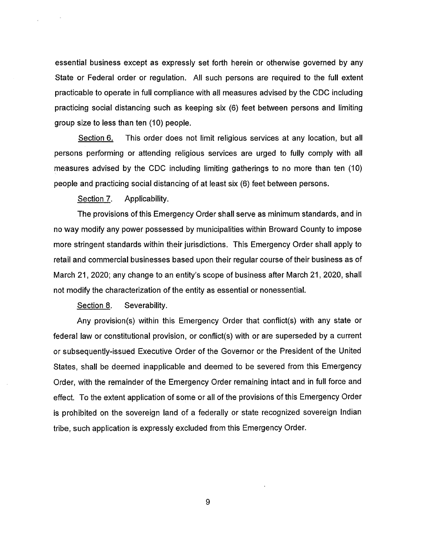essential business except as expressly set forth herein or otherwise governed by any State or Federal order or regulation. All such persons are required to the full extent practicable to operate in full compliance with all measures advised by the CDC including practicing social distancing such as keeping six (6) feet between persons and limiting group size to less than ten (10) people.

Section 6. This order does not limit religious services at any location, but all persons performing or attending religious services are urged to fully comply with all measures advised by the CDC including limiting gatherings to no more than ten (10) people and practicing social distancing of at least six (6) feet between persons.

Section 7. Applicability.

The provisions of this Emergency Order shall serve as minimum standards, and in no way modify any power possessed by municipalities within Broward County to impose more stringent standards within their jurisdictions. This Emergency Order shall apply to retail and commercial businesses based upon their regular course of their business as of March 21, 2020; any change to an entity's scope of business after March 21, 2020, shall not modify the characterization of the entity as essential or nonessential.

Section 8. Severability.

Any provision(s) within this Emergency Order that conflict(s) with any state or federal law or constitutional provision, or conflict(s) with or are superseded by a current or subsequently-issued Executive Order of the Governor or the President of the United States, shall be deemed inapplicable and deemed to be severed from this Emergency Order, with the remainder of the Emergency Order remaining intact and in full force and effect. To the extent application of some or all of the provisions of this Emergency Order is prohibited on the sovereign land of a federally or state recognized sovereign Indian tribe, such application is expressly excluded from this Emergency Order.